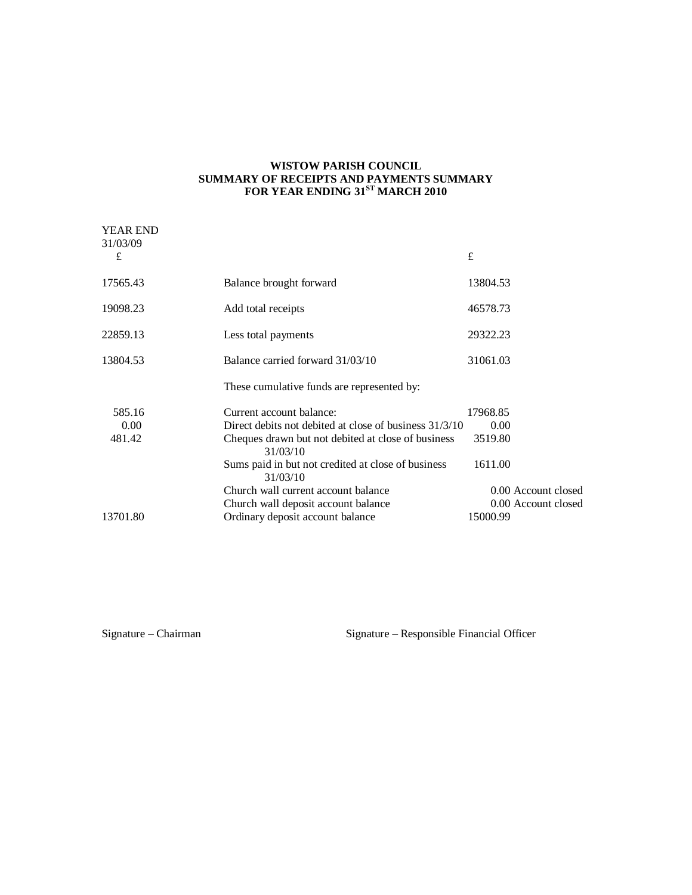### **WISTOW PARISH COUNCIL SUMMARY OF RECEIPTS AND PAYMENTS SUMMARY FOR YEAR ENDING 31ST MARCH 2010**

| <b>YEAR END</b><br>31/03/09 |                                                                |          |                     |
|-----------------------------|----------------------------------------------------------------|----------|---------------------|
| £                           |                                                                | £        |                     |
| 17565.43                    | Balance brought forward                                        | 13804.53 |                     |
| 19098.23                    | Add total receipts                                             | 46578.73 |                     |
| 22859.13                    | Less total payments                                            | 29322.23 |                     |
| 13804.53                    | Balance carried forward 31/03/10                               | 31061.03 |                     |
|                             | These cumulative funds are represented by:                     |          |                     |
| 585.16                      | Current account balance:                                       | 17968.85 |                     |
| 0.00                        | Direct debits not debited at close of business 31/3/10         | 0.00     |                     |
| 481.42                      | Cheques drawn but not debited at close of business<br>31/03/10 | 3519.80  |                     |
|                             | Sums paid in but not credited at close of business<br>31/03/10 | 1611.00  |                     |
|                             | Church wall current account balance                            |          | 0.00 Account closed |
|                             | Church wall deposit account balance                            |          | 0.00 Account closed |
| 13701.80                    | Ordinary deposit account balance                               | 15000.99 |                     |

Signature – Chairman Signature – Responsible Financial Officer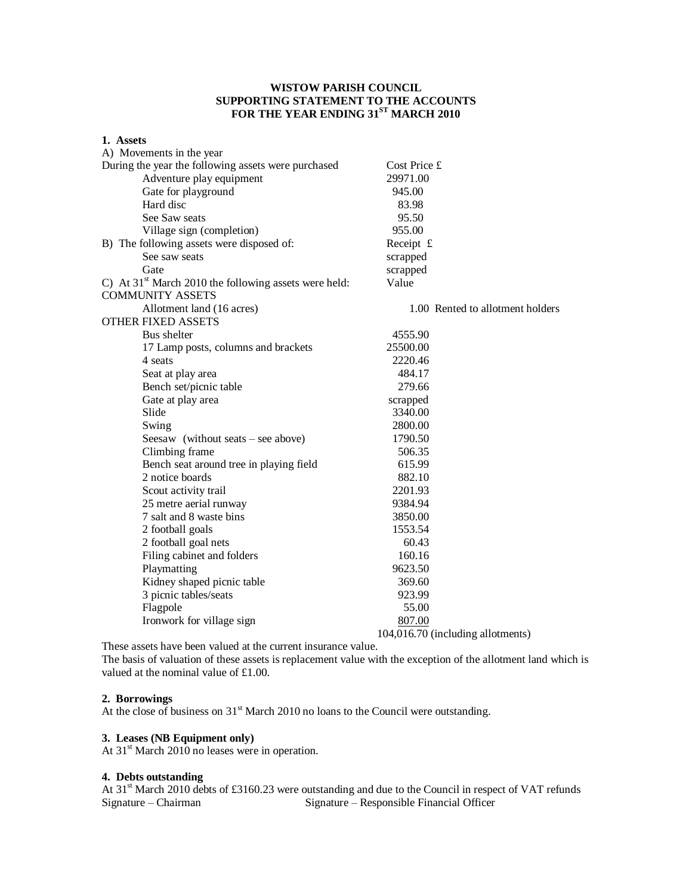# **WISTOW PARISH COUNCIL SUPPORTING STATEMENT TO THE ACCOUNTS FOR THE YEAR ENDING 31ST MARCH 2010**

| 1. Assets                                               |                                   |
|---------------------------------------------------------|-----------------------------------|
| A) Movements in the year                                |                                   |
| During the year the following assets were purchased     | Cost Price £                      |
| Adventure play equipment                                | 29971.00                          |
| Gate for playground                                     | 945.00                            |
| Hard disc                                               | 83.98                             |
| See Saw seats                                           | 95.50                             |
| Village sign (completion)                               | 955.00                            |
| B) The following assets were disposed of:               | Receipt £                         |
| See saw seats                                           | scrapped                          |
| Gate                                                    | scrapped                          |
| C) At $31st$ March 2010 the following assets were held: | Value                             |
| <b>COMMUNITY ASSETS</b>                                 |                                   |
| Allotment land (16 acres)                               | 1.00 Rented to allotment holders  |
| <b>OTHER FIXED ASSETS</b>                               |                                   |
| Bus shelter                                             | 4555.90                           |
| 17 Lamp posts, columns and brackets                     | 25500.00                          |
| 4 seats                                                 | 2220.46                           |
| Seat at play area                                       | 484.17                            |
| Bench set/picnic table                                  | 279.66                            |
| Gate at play area                                       | scrapped                          |
| Slide                                                   | 3340.00                           |
| Swing                                                   | 2800.00                           |
| Seesaw (without seats – see above)                      | 1790.50                           |
| Climbing frame                                          | 506.35                            |
| Bench seat around tree in playing field                 | 615.99                            |
| 2 notice boards                                         | 882.10                            |
| Scout activity trail                                    | 2201.93                           |
| 25 metre aerial runway                                  | 9384.94                           |
| 7 salt and 8 waste bins                                 | 3850.00                           |
| 2 football goals                                        | 1553.54                           |
| 2 football goal nets                                    | 60.43                             |
| Filing cabinet and folders                              | 160.16                            |
| Playmatting                                             | 9623.50                           |
| Kidney shaped picnic table                              | 369.60                            |
| 3 picnic tables/seats                                   | 923.99                            |
| Flagpole                                                | 55.00                             |
| Ironwork for village sign                               | 807.00                            |
|                                                         | 104,016.70 (including allotments) |

These assets have been valued at the current insurance value.

The basis of valuation of these assets is replacement value with the exception of the allotment land which is valued at the nominal value of £1.00.

#### **2. Borrowings**

At the close of business on  $31<sup>st</sup>$  March 2010 no loans to the Council were outstanding.

## **3. Leases (NB Equipment only)**

At  $31<sup>st</sup>$  March 2010 no leases were in operation.

# **4. Debts outstanding**

At 31<sup>st</sup> March 2010 debts of £3160.23 were outstanding and due to the Council in respect of VAT refunds<br>Signature – Responsible Financial Officer Signature – Responsible Financial Officer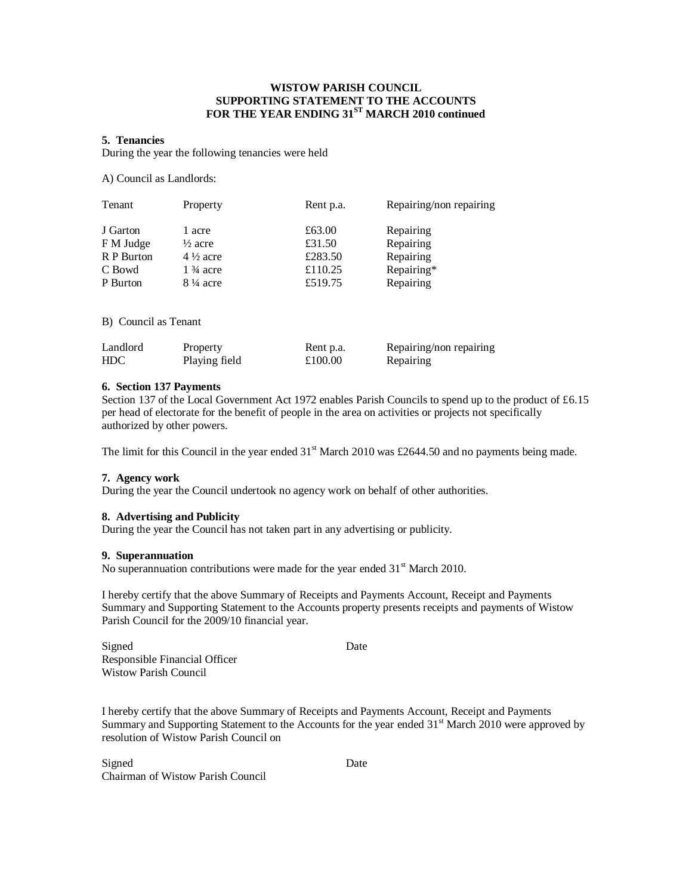## **WISTOW PARISH COUNCIL SUPPORTING STATEMENT TO THE ACCOUNTS FOR THE YEAR ENDING 31ST MARCH 2010 continued**

#### **5. Tenancies**

During the year the following tenancies were held

A) Council as Landlords:

| Tenant               | Property            | Rent p.a. | Repairing/non repairing |
|----------------------|---------------------|-----------|-------------------------|
| J Garton             | 1 acre              | £63.00    | Repairing               |
| F M Judge            | $\frac{1}{2}$ acre  | £31.50    | Repairing               |
| R P Burton           | $4\frac{1}{2}$ acre | £283.50   | Repairing               |
| C Bowd               | $1\frac{3}{4}$ acre | £110.25   | Repairing*              |
| P Burton             | $8\frac{1}{4}$ acre | £519.75   | Repairing               |
| B) Council as Tenant |                     |           |                         |

| Landlord   | Property      | Rent p.a. | Repairing/non repairing |
|------------|---------------|-----------|-------------------------|
| <b>HDC</b> | Playing field | £100.00   | Repairing               |

## **6. Section 137 Payments**

Section 137 of the Local Government Act 1972 enables Parish Councils to spend up to the product of £6.15 per head of electorate for the benefit of people in the area on activities or projects not specifically authorized by other powers.

The limit for this Council in the year ended  $31<sup>st</sup>$  March 2010 was £2644.50 and no payments being made.

### **7. Agency work**

During the year the Council undertook no agency work on behalf of other authorities.

#### **8. Advertising and Publicity**

During the year the Council has not taken part in any advertising or publicity.

#### **9. Superannuation**

No superannuation contributions were made for the year ended  $31<sup>st</sup>$  March 2010.

I hereby certify that the above Summary of Receipts and Payments Account, Receipt and Payments Summary and Supporting Statement to the Accounts property presents receipts and payments of Wistow Parish Council for the 2009/10 financial year.

Signed Date Responsible Financial Officer Wistow Parish Council

I hereby certify that the above Summary of Receipts and Payments Account, Receipt and Payments Summary and Supporting Statement to the Accounts for the year ended 31<sup>st</sup> March 2010 were approved by resolution of Wistow Parish Council on

Signed Date Chairman of Wistow Parish Council